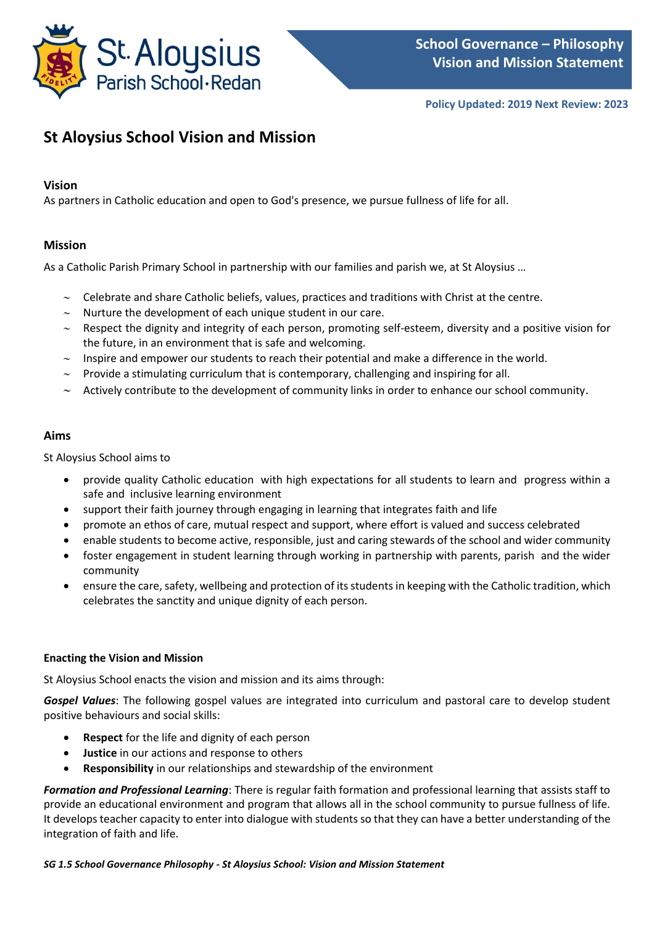

# **St Aloysius School Vision and Mission**

# **Vision**

As partners in Catholic education and open to God's presence, we pursue fullness of life for all.

# **Mission**

As a Catholic Parish Primary School in partnership with our families and parish we, at St Aloysius …

- $\sim$  Celebrate and share Catholic beliefs, values, practices and traditions with Christ at the centre.
- $\sim$  Nurture the development of each unique student in our care.
- $\sim$  Respect the dignity and integrity of each person, promoting self-esteem, diversity and a positive vision for the future, in an environment that is safe and welcoming.

- $\sim$  Inspire and empower our students to reach their potential and make a difference in the world.
- $\sim$  Provide a stimulating curriculum that is contemporary, challenging and inspiring for all.
- $\sim$  Actively contribute to the development of community links in order to enhance our school community.

# **Aims**

St Aloysius School aims to

- provide quality Catholic education with high expectations for all students to learn and progress within a safe and inclusive learning environment
- support their faith journey through engaging in learning that integrates faith and life
- promote an ethos of care, mutual respect and support, where effort is valued and success celebrated
- enable students to become active, responsible, just and caring stewards of the school and wider community
- foster engagement in student learning through working in partnership with parents, parish and the wider community
- ensure the care, safety, wellbeing and protection of its students in keeping with the Catholic tradition, which celebrates the sanctity and unique dignity of each person.

### **Enacting the Vision and Mission**

St Aloysius School enacts the vision and mission and its aims through:

*Gospel Values*: The following gospel values are integrated into curriculum and pastoral care to develop student positive behaviours and social skills:

- **Respect** for the life and dignity of each person
- **Justice** in our actions and response to others
- **Responsibility** in our relationships and stewardship of the environment

*Formation and Professional Learning*: There is regular faith formation and professional learning that assists staff to provide an educational environment and program that allows all in the school community to pursue fullness of life. It develops teacher capacity to enter into dialogue with students so that they can have a better understanding of the integration of faith and life.

### *SG 1.5 School Governance Philosophy - St Aloysius School: Vision and Mission Statement*